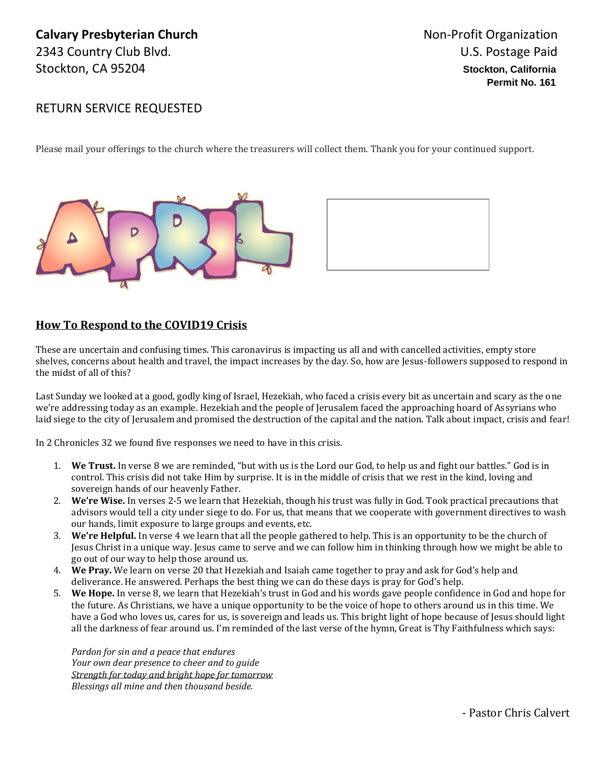## **Calvary Presbyterian Church Non-Profit Organization Calvary Presbyterian Church** 2343 Country Club Blvd. 2343 Country Club Blvd. Stockton, CA 95204 **Stockton, California**

## RETURN SERVICE REQUESTED

Please mail your offerings to the church where the treasurers will collect them. Thank you for your continued support.





## **How To Respond to the COVID19 Crisis**

These are uncertain and confusing times. This caronavirus is impacting us all and with cancelled activities, empty store shelves, concerns about health and travel, the impact increases by the day. So, how are Jesus-followers supposed to respond in the midst of all of this?

Last Sunday we looked at a good, godly king of Israel, Hezekiah, who faced a crisis every bit as uncertain and scary as the one we're addressing today as an example. Hezekiah and the people of Jerusalem faced the approaching hoard of Assyrians who laid siege to the city of Jerusalem and promised the destruction of the capital and the nation. Talk about impact, crisis and fear!

In 2 Chronicles 32 we found five responses we need to have in this crisis.

- 1. **We Trust.** In verse 8 we are reminded, "but with us is the Lord our God, to help us and fight our battles." God is in control. This crisis did not take Him by surprise. It is in the middle of crisis that we rest in the kind, loving and sovereign hands of our heavenly Father.
- 2. **We're Wise.** In verses 2-5 we learn that Hezekiah, though his trust was fully in God. Took practical precautions that advisors would tell a city under siege to do. For us, that means that we cooperate with government directives to wash our hands, limit exposure to large groups and events, etc.
- 3. **We're Helpful.** In verse 4 we learn that all the people gathered to help. This is an opportunity to be the church of Jesus Christ in a unique way. Jesus came to serve and we can follow him in thinking through how we might be able to go out of our way to help those around us.
- 4. **We Pray.** We learn on verse 20 that Hezekiah and Isaiah came together to pray and ask for God's help and deliverance. He answered. Perhaps the best thing we can do these days is pray for God's help.
- 5. **We Hope.** In verse 8, we learn that Hezekiah's trust in God and his words gave people confidence in God and hope for the future. As Christians, we have a unique opportunity to be the voice of hope to others around us in this time. We have a God who loves us, cares for us, is sovereign and leads us. This bright light of hope because of Jesus should light all the darkness of fear around us. I'm reminded of the last verse of the hymn, Great is Thy Faithfulness which says:

*Pardon for sin and a peace that endures Your own dear presence to cheer and to guide Strength for today and bright hope for tomorrow Blessings all mine and then thousand beside.*

- Pastor Chris Calvert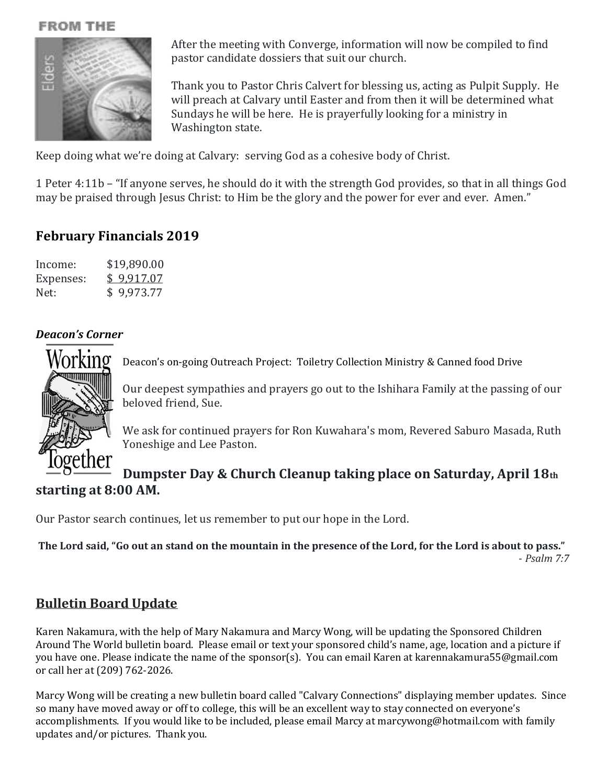## **FROM THE**



After the meeting with Converge, information will now be compiled to find pastor candidate dossiers that suit our church.

Thank you to Pastor Chris Calvert for blessing us, acting as Pulpit Supply. He will preach at Calvary until Easter and from then it will be determined what Sundays he will be here. He is prayerfully looking for a ministry in Washington state.

Keep doing what we're doing at Calvary: serving God as a cohesive body of Christ.

1 Peter 4:11b – "If anyone serves, he should do it with the strength God provides, so that in all things God may be praised through Jesus Christ: to Him be the glory and the power for ever and ever. Amen."

## **February Financials 2019**

| Income:   | \$19,890.00 |
|-----------|-------------|
| Expenses: | \$9,917.07  |
| Net:      | \$9,973.77  |

## *Deacon's Corner*



Deacon's on-going Outreach Project: Toiletry Collection Ministry & Canned food Drive

Our deepest sympathies and prayers go out to the Ishihara Family at the passing of our beloved friend, Sue.

We ask for continued prayers for Ron Kuwahara's mom, Revered Saburo Masada, Ruth Yoneshige and Lee Paston.

## **Dumpster Day & Church Cleanup taking place on Saturday, April 18th starting at 8:00 AM.**

Our Pastor search continues, let us remember to put our hope in the Lord.

**The Lord said, "Go out an stand on the mountain in the presence of the Lord, for the Lord is about to pass."** - *Psalm 7:7*

## **Bulletin Board Update**

Karen Nakamura, with the help of Mary Nakamura and Marcy Wong, will be updating the Sponsored Children Around The World bulletin board. Please email or text your sponsored child's name, age, location and a picture if you have one. Please indicate the name of the sponsor(s). You can email Karen at karennakamura55@gmail.com or call her at (209) 762-2026.

Marcy Wong will be creating a new bulletin board called "Calvary Connections" displaying member updates. Since so many have moved away or off to college, this will be an excellent way to stay connected on everyone's accomplishments. If you would like to be included, please email Marcy at marcywong@hotmail.com with family updates and/or pictures. Thank you.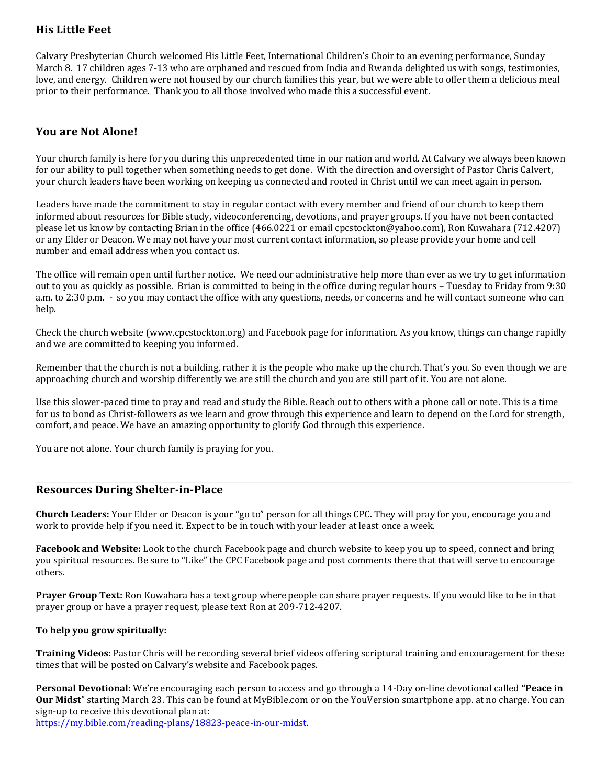## **His Little Feet**

Calvary Presbyterian Church welcomed His Little Feet, International Children's Choir to an evening performance, Sunday March 8. 17 children ages 7-13 who are orphaned and rescued from India and Rwanda delighted us with songs, testimonies, love, and energy. Children were not housed by our church families this year, but we were able to offer them a delicious meal prior to their performance. Thank you to all those involved who made this a successful event.

### **You are Not Alone!**

Your church family is here for you during this unprecedented time in our nation and world. At Calvary we always been known for our ability to pull together when something needs to get done. With the direction and oversight of Pastor Chris Calvert, your church leaders have been working on keeping us connected and rooted in Christ until we can meet again in person.

Leaders have made the commitment to stay in regular contact with every member and friend of our church to keep them informed about resources for Bible study, videoconferencing, devotions, and prayer groups. If you have not been contacted please let us know by contacting Brian in the office (466.0221 or email cpcstockton@yahoo.com), Ron Kuwahara (712.4207) or any Elder or Deacon. We may not have your most current contact information, so please provide your home and cell number and email address when you contact us.

The office will remain open until further notice. We need our administrative help more than ever as we try to get information out to you as quickly as possible. Brian is committed to being in the office during regular hours – Tuesday to Friday from 9:30 a.m. to 2:30 p.m. - so you may contact the office with any questions, needs, or concerns and he will contact someone who can help.

Check the church website (www.cpcstockton.org) and Facebook page for information. As you know, things can change rapidly and we are committed to keeping you informed.

Remember that the church is not a building, rather it is the people who make up the church. That's you. So even though we are approaching church and worship differently we are still the church and you are still part of it. You are not alone.

Use this slower-paced time to pray and read and study the Bible. Reach out to others with a phone call or note. This is a time for us to bond as Christ-followers as we learn and grow through this experience and learn to depend on the Lord for strength, comfort, and peace. We have an amazing opportunity to glorify God through this experience.

You are not alone. Your church family is praying for you.

#### **Resources During Shelter-in-Place**

**Church Leaders:** Your Elder or Deacon is your "go to" person for all things CPC. They will pray for you, encourage you and work to provide help if you need it. Expect to be in touch with your leader at least once a week.

**Facebook and Website:** Look to the church Facebook page and church website to keep you up to speed, connect and bring you spiritual resources. Be sure to "Like" the CPC Facebook page and post comments there that that will serve to encourage others.

**Prayer Group Text:** Ron Kuwahara has a text group where people can share prayer requests. If you would like to be in that prayer group or have a prayer request, please text Ron at 209-712-4207.

#### **To help you grow spiritually:**

**Training Videos:** Pastor Chris will be recording several brief videos offering scriptural training and encouragement for these times that will be posted on Calvary's website and Facebook pages.

**Personal Devotional:** We're encouraging each person to access and go through a 14-Day on-line devotional called **"Peace in Our Midst**" starting March 23. This can be found at MyBible.com or on the YouVersion smartphone app. at no charge. You can sign-up to receive this devotional plan at:

[https://my.bible.com/reading-plans/18823-peace-in-our-midst.](https://my.bible.com/reading-plans/18823-peace-in-our-midst)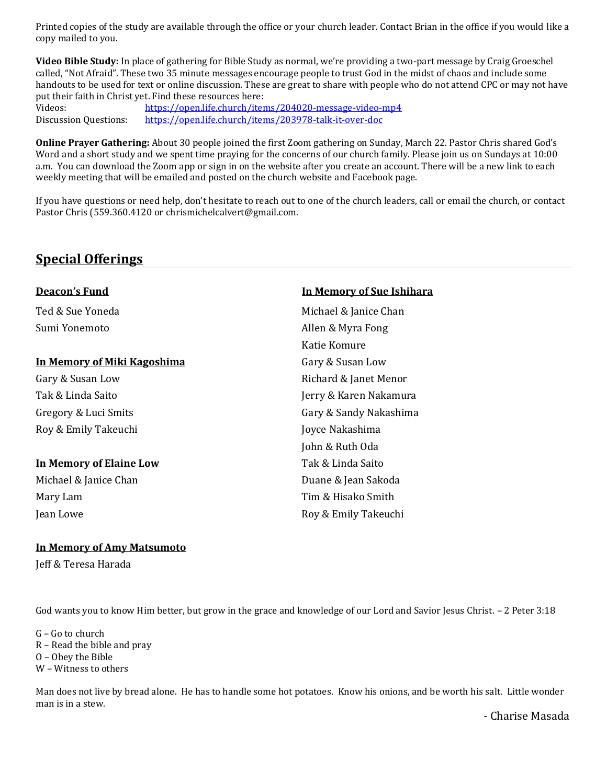Printed copies of the study are available through the office or your church leader. Contact Brian in the office if you would like a copy mailed to you.

**Video Bible Study:** In place of gathering for Bible Study as normal, we're providing a two-part message by Craig Groeschel called, "Not Afraid". These two 35 minute messages encourage people to trust God in the midst of chaos and include some handouts to be used for text or online discussion. These are great to share with people who do not attend CPC or may not have put their faith in Christ yet. Find these resources here:

Videos: https://open.life.church/items/204020-message-video-mp4 Discussion Questions: https://open.life.church/items/203978-talk-it-over-doc

**Online Prayer Gathering:** About 30 people joined the first Zoom gathering on Sunday, March 22. Pastor Chris shared God's Word and a short study and we spent time praying for the concerns of our church family. Please join us on Sundays at 10:00 a.m. You can download the Zoom app or sign in on the website after you create an account. There will be a new link to each weekly meeting that will be emailed and posted on the church website and Facebook page.

If you have questions or need help, don't hesitate to reach out to one of the church leaders, call or email the church, or contact Pastor Chris (559.360.4120 or chrismichelcalvert@gmail.com.

## **Special Offerings**

| Deacon's Fund                  | In Memory of Sue Ishihara |  |  |
|--------------------------------|---------------------------|--|--|
| Ted & Sue Yoneda               | Michael & Janice Chan     |  |  |
| Sumi Yonemoto                  | Allen & Myra Fong         |  |  |
|                                | Katie Komure              |  |  |
| In Memory of Miki Kagoshima    | Gary & Susan Low          |  |  |
| Gary & Susan Low               | Richard & Janet Menor     |  |  |
| Tak & Linda Saito              | Jerry & Karen Nakamura    |  |  |
| Gregory & Luci Smits           | Gary & Sandy Nakashima    |  |  |
| Roy & Emily Takeuchi           | Joyce Nakashima           |  |  |
|                                | John & Ruth Oda           |  |  |
| <b>In Memory of Elaine Low</b> | Tak & Linda Saito         |  |  |
| Michael & Janice Chan          | Duane & Jean Sakoda       |  |  |
| Mary Lam                       | Tim & Hisako Smith        |  |  |
| Jean Lowe                      | Roy & Emily Takeuchi      |  |  |
|                                |                           |  |  |

#### **In Memory of Amy Matsumoto**

Jeff & Teresa Harada

God wants you to know Him better, but grow in the grace and knowledge of our Lord and Savior Jesus Christ. – 2 Peter 3:18

G – Go to church R – Read the bible and pray O – Obey the Bible W – Witness to others

Man does not live by bread alone. He has to handle some hot potatoes. Know his onions, and be worth his salt. Little wonder man is in a stew.

- Charise Masada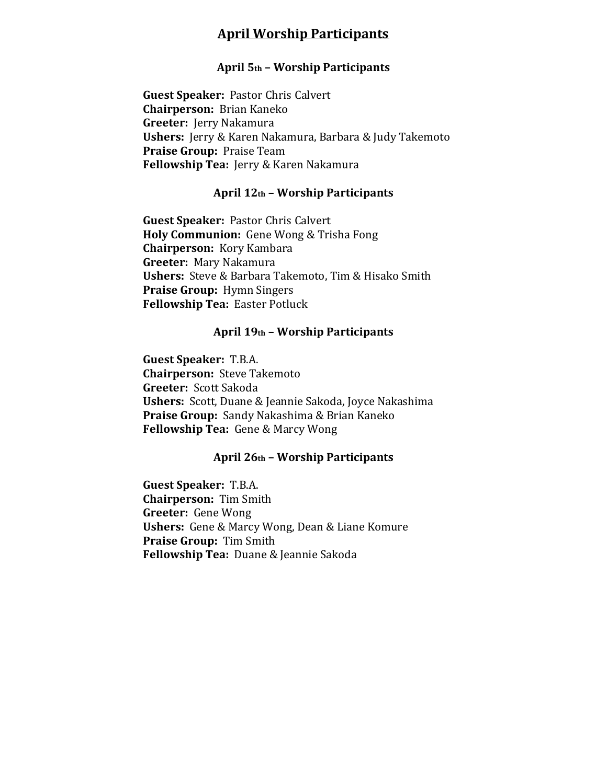## **April Worship Participants**

## **April 5th – Worship Participants**

**Guest Speaker:** Pastor Chris Calvert **Chairperson:** Brian Kaneko **Greeter:** Jerry Nakamura **Ushers:** Jerry & Karen Nakamura, Barbara & Judy Takemoto **Praise Group:** Praise Team **Fellowship Tea:** Jerry & Karen Nakamura

#### **April 12th – Worship Participants**

**Guest Speaker:** Pastor Chris Calvert **Holy Communion:** Gene Wong & Trisha Fong **Chairperson:** Kory Kambara **Greeter:** Mary Nakamura **Ushers:** Steve & Barbara Takemoto, Tim & Hisako Smith **Praise Group:** Hymn Singers **Fellowship Tea:** Easter Potluck

#### **April 19th – Worship Participants**

**Guest Speaker:** T.B.A. **Chairperson:** Steve Takemoto **Greeter:** Scott Sakoda **Ushers:** Scott, Duane & Jeannie Sakoda, Joyce Nakashima **Praise Group:** Sandy Nakashima & Brian Kaneko **Fellowship Tea:** Gene & Marcy Wong

#### **April 26th – Worship Participants**

**Guest Speaker:** T.B.A. **Chairperson:** Tim Smith **Greeter:** Gene Wong **Ushers:** Gene & Marcy Wong, Dean & Liane Komure **Praise Group:** Tim Smith **Fellowship Tea:** Duane & Jeannie Sakoda